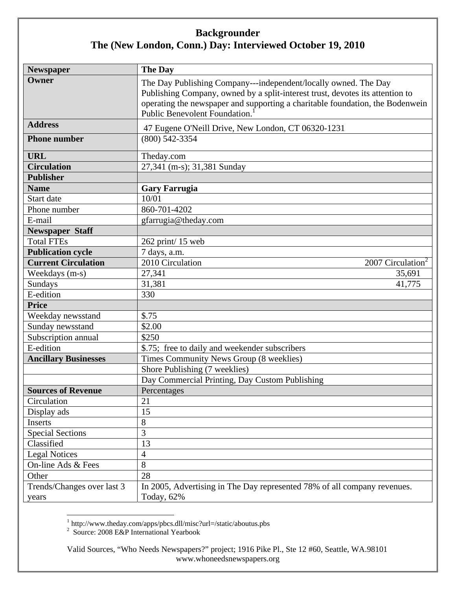| <b>Newspaper</b>            | <b>The Day</b>                                                                                                 |
|-----------------------------|----------------------------------------------------------------------------------------------------------------|
| Owner                       | The Day Publishing Company---independent/locally owned. The Day                                                |
|                             | Publishing Company, owned by a split-interest trust, devotes its attention to                                  |
|                             | operating the newspaper and supporting a charitable foundation, the Bodenwein<br>Public Benevolent Foundation. |
| <b>Address</b>              | 47 Eugene O'Neill Drive, New London, CT 06320-1231                                                             |
| <b>Phone number</b>         | $(800)$ 542-3354                                                                                               |
|                             |                                                                                                                |
| <b>URL</b>                  | Theday.com                                                                                                     |
| <b>Circulation</b>          | 27,341 (m-s); 31,381 Sunday                                                                                    |
| <b>Publisher</b>            |                                                                                                                |
| <b>Name</b>                 | <b>Gary Farrugia</b>                                                                                           |
| Start date                  | 10/01                                                                                                          |
| Phone number                | 860-701-4202                                                                                                   |
| E-mail                      | gfarrugia@theday.com                                                                                           |
| <b>Newspaper Staff</b>      |                                                                                                                |
| <b>Total FTEs</b>           | 262 print/15 web                                                                                               |
| <b>Publication cycle</b>    | 7 days, a.m.                                                                                                   |
| <b>Current Circulation</b>  | 2010 Circulation<br>2007 Circulation <sup>2</sup>                                                              |
| Weekdays (m-s)              | 27,341<br>35,691                                                                                               |
| Sundays                     | 31,381<br>41,775                                                                                               |
| E-edition                   | 330                                                                                                            |
| <b>Price</b>                |                                                                                                                |
| Weekday newsstand           | \$.75                                                                                                          |
| Sunday newsstand            | \$2.00                                                                                                         |
| Subscription annual         | \$250                                                                                                          |
| E-edition                   | \$.75; free to daily and weekender subscribers                                                                 |
| <b>Ancillary Businesses</b> | Times Community News Group (8 weeklies)                                                                        |
|                             | Shore Publishing (7 weeklies)                                                                                  |
|                             | Day Commercial Printing, Day Custom Publishing                                                                 |
| <b>Sources of Revenue</b>   | Percentages                                                                                                    |
| Circulation                 | 21                                                                                                             |
| Display ads                 | 15                                                                                                             |
| Inserts                     | $8\,$                                                                                                          |
| <b>Special Sections</b>     | 3                                                                                                              |
| Classified                  | 13                                                                                                             |
| <b>Legal Notices</b>        | $\overline{4}$                                                                                                 |
| On-line Ads & Fees          | 8                                                                                                              |
| Other                       | 28                                                                                                             |
| Trends/Changes over last 3  | In 2005, Advertising in The Day represented 78% of all company revenues.                                       |
| years                       | Today, 62%                                                                                                     |

<sup>1</sup> http://www.theday.com/apps/pbcs.dll/misc?url=/static/aboutus.pbs<br><sup>2</sup> Source: 2008 E&P International Yearbook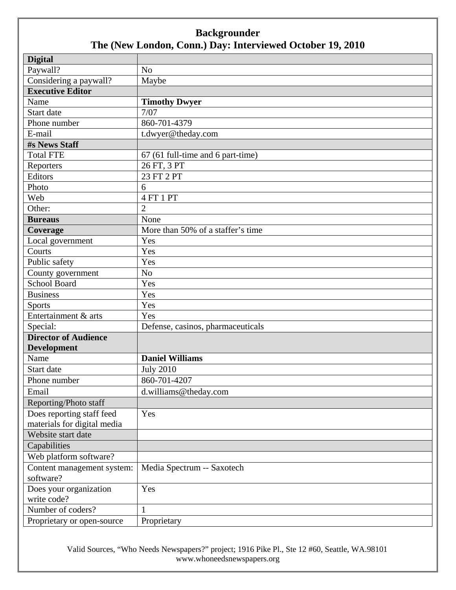| <b>Digital</b>              |                                   |
|-----------------------------|-----------------------------------|
| Paywall?                    | N <sub>o</sub>                    |
| Considering a paywall?      | Maybe                             |
| <b>Executive Editor</b>     |                                   |
| Name                        | <b>Timothy Dwyer</b>              |
| Start date                  | 7/07                              |
| Phone number                | 860-701-4379                      |
| E-mail                      | t.dwyer@theday.com                |
| #s News Staff               |                                   |
| <b>Total FTE</b>            | 67 (61 full-time and 6 part-time) |
| Reporters                   | 26 FT, 3 PT                       |
| Editors                     | 23 FT 2 PT                        |
| Photo                       | 6                                 |
| Web                         | 4 FT 1 PT                         |
| Other:                      | $\overline{2}$                    |
| <b>Bureaus</b>              | None                              |
| Coverage                    | More than 50% of a staffer's time |
| Local government            | Yes                               |
| Courts                      | Yes                               |
| Public safety               | Yes                               |
| County government           | N <sub>o</sub>                    |
| <b>School Board</b>         | Yes                               |
| <b>Business</b>             | Yes                               |
| <b>Sports</b>               | Yes                               |
| Entertainment & arts        | Yes                               |
| Special:                    | Defense, casinos, pharmaceuticals |
| <b>Director of Audience</b> |                                   |
| <b>Development</b>          |                                   |
| Name                        | <b>Daniel Williams</b>            |
| Start date                  | <b>July 2010</b>                  |
| Phone number                | 860-701-4207                      |
| Email                       | d.williams@theday.com             |
| Reporting/Photo staff       |                                   |
| Does reporting staff feed   | Yes                               |
| materials for digital media |                                   |
| Website start date          |                                   |
| Capabilities                |                                   |
| Web platform software?      |                                   |
| Content management system:  | Media Spectrum -- Saxotech        |
| software?                   |                                   |
| Does your organization      | Yes                               |
| write code?                 |                                   |
| Number of coders?           | $\mathbf{1}$                      |
| Proprietary or open-source  | Proprietary                       |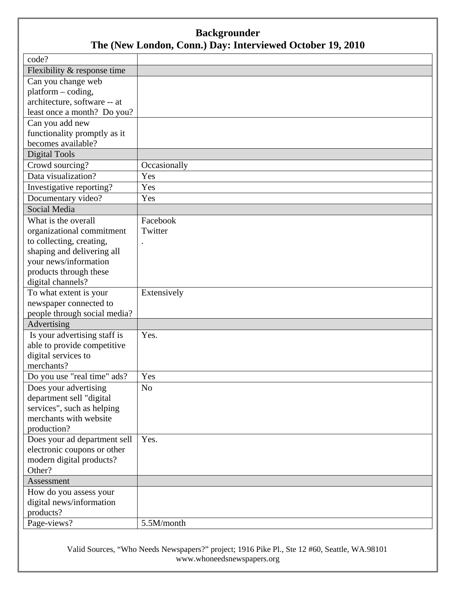| code?                                 |              |
|---------------------------------------|--------------|
| Flexibility & response time           |              |
| Can you change web                    |              |
| $platform - coding,$                  |              |
| architecture, software -- at          |              |
| least once a month? Do you?           |              |
| Can you add new                       |              |
| functionality promptly as it          |              |
| becomes available?                    |              |
| <b>Digital Tools</b>                  |              |
| Crowd sourcing?                       | Occasionally |
| Data visualization?                   | Yes          |
| Investigative reporting?              | Yes          |
| Documentary video?                    | Yes          |
| Social Media                          |              |
| What is the overall                   | Facebook     |
| organizational commitment             | Twitter      |
| to collecting, creating,              |              |
| shaping and delivering all            |              |
| your news/information                 |              |
| products through these                |              |
| digital channels?                     |              |
| To what extent is your                | Extensively  |
| newspaper connected to                |              |
| people through social media?          |              |
| Advertising                           |              |
| Is your advertising staff is          | Yes.         |
| able to provide competitive           |              |
| digital services to                   |              |
| merchants?                            |              |
| Do you use "real time" ads?           | Yes          |
| Does your advertising                 | No           |
| department sell "digital              |              |
| services", such as helping            |              |
| merchants with website                |              |
| production?                           |              |
| Does your ad department sell          | Yes.         |
| electronic coupons or other           |              |
| modern digital products?              |              |
| Other?                                |              |
| Assessment                            |              |
| How do you assess your                |              |
| digital news/information<br>products? |              |
|                                       |              |
| Page-views?                           | 5.5M/month   |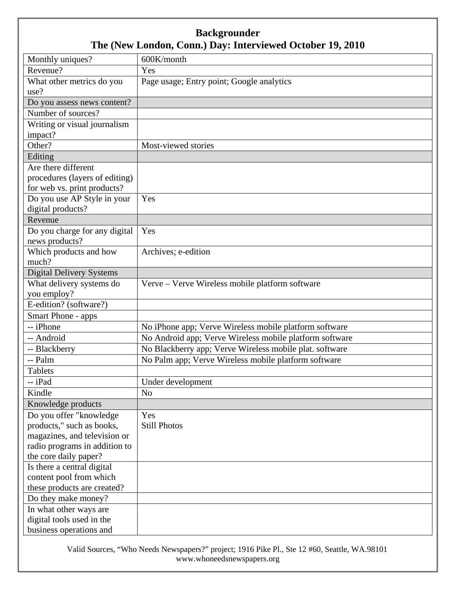| Monthly uniques?                | 600K/month                                              |
|---------------------------------|---------------------------------------------------------|
| Revenue?                        | Yes                                                     |
| What other metrics do you       | Page usage; Entry point; Google analytics               |
| use?                            |                                                         |
| Do you assess news content?     |                                                         |
| Number of sources?              |                                                         |
| Writing or visual journalism    |                                                         |
| impact?                         |                                                         |
| Other?                          | Most-viewed stories                                     |
| Editing                         |                                                         |
| Are there different             |                                                         |
| procedures (layers of editing)  |                                                         |
| for web vs. print products?     |                                                         |
| Do you use AP Style in your     | Yes                                                     |
| digital products?               |                                                         |
| Revenue                         |                                                         |
| Do you charge for any digital   | Yes                                                     |
| news products?                  |                                                         |
| Which products and how          | Archives; e-edition                                     |
| much?                           |                                                         |
| <b>Digital Delivery Systems</b> |                                                         |
| What delivery systems do        | Verve - Verve Wireless mobile platform software         |
| you employ?                     |                                                         |
| E-edition? (software?)          |                                                         |
| Smart Phone - apps              |                                                         |
| -- iPhone                       | No iPhone app; Verve Wireless mobile platform software  |
| -- Android                      | No Android app; Verve Wireless mobile platform software |
| -- Blackberry                   | No Blackberry app; Verve Wireless mobile plat. software |
| -- Palm                         | No Palm app; Verve Wireless mobile platform software    |
| <b>Tablets</b>                  |                                                         |
| -- iPad                         | Under development                                       |
| Kindle                          | N <sub>o</sub>                                          |
| Knowledge products              |                                                         |
| Do you offer "knowledge"        | Yes                                                     |
| products," such as books,       | <b>Still Photos</b>                                     |
| magazines, and television or    |                                                         |
| radio programs in addition to   |                                                         |
| the core daily paper?           |                                                         |
| Is there a central digital      |                                                         |
| content pool from which         |                                                         |
| these products are created?     |                                                         |
| Do they make money?             |                                                         |
| In what other ways are          |                                                         |
| digital tools used in the       |                                                         |
| business operations and         |                                                         |